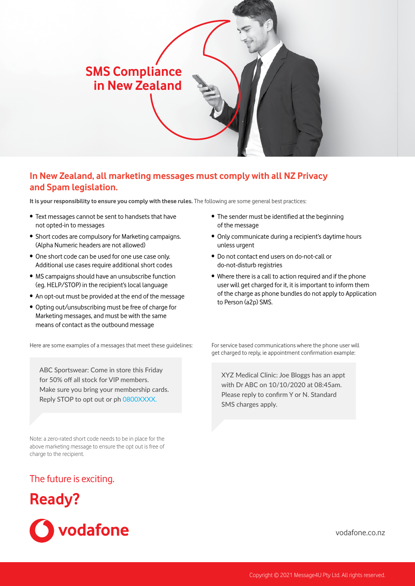# **SMS Compliance in New Zealand**

# **In New Zealand, all marketing messages must comply with all NZ Privacy and Spam legislation.**

**It is your responsibility to ensure you comply with these rules.** The following are some general best practices:

- Text messages cannot be sent to handsets that have not opted-in to messages
- Short codes are compulsory for Marketing campaigns. (Alpha Numeric headers are not allowed)
- One short code can be used for one use case only. Additional use cases require additional short codes
- MS campaigns should have an unsubscribe function (eg. HELP/STOP) in the recipient's local language
- An opt-out must be provided at the end of the message
- Opting out/unsubscribing must be free of charge for Marketing messages, and must be with the same means of contact as the outbound message

Here are some examples of a messages that meet these guidelines:

ABC Sportswear: Come in store this Friday for 50% off all stock for VIP members. Make sure you bring your membership cards. Reply STOP to opt out or ph 0800XXXX.

Note: a zero-rated short code needs to be in place for the above marketing message to ensure the opt out is free of charge to the recipient.

## The future is exciting.

# **Ready?**



- The sender must be identified at the beginning of the message
- Only communicate during a recipient's daytime hours unless urgent
- Do not contact end users on do-not-call or do-not-disturb registries
- Where there is a call to action required and if the phone user will get charged for it, it is important to inform them of the charge as phone bundles do not apply to Application to Person (a2p) SMS.

For service based communications where the phone user will get charged to reply, ie appointment confirmation example:

XYZ Medical Clinic: Joe Bloggs has an appt with Dr ABC on 10/10/2020 at 08:45am. Please reply to confirm Y or N. Standard SMS charges apply.

[vodafone.co.nz](https://www.vodafone.co.nz/mobile-services/premium-interactive-txt/)